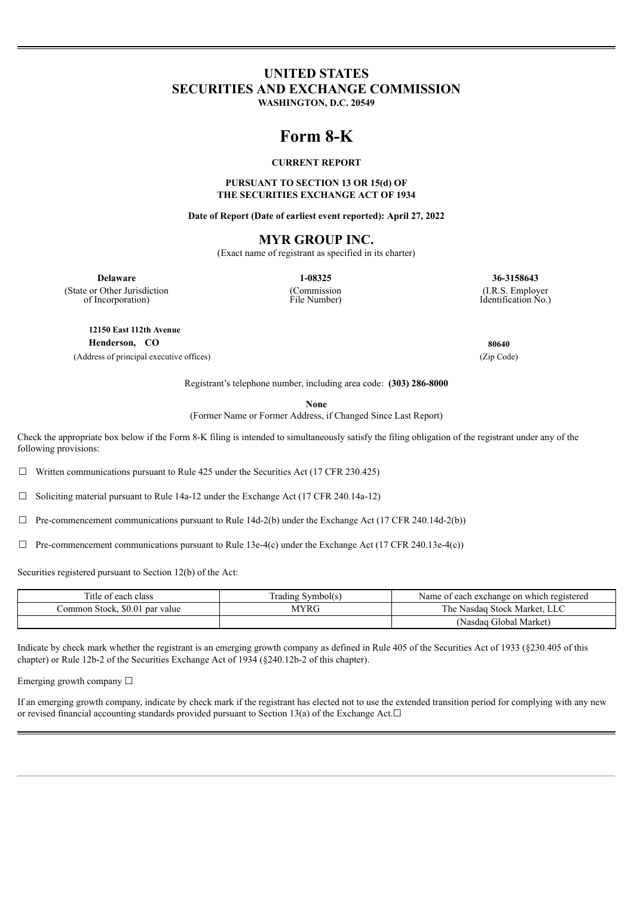# **UNITED STATES SECURITIES AND EXCHANGE COMMISSION**

**WASHINGTON, D.C. 20549**

# **Form 8-K**

#### **CURRENT REPORT**

#### **PURSUANT TO SECTION 13 OR 15(d) OF THE SECURITIES EXCHANGE ACT OF 1934**

**Date of Report (Date of earliest event reported): April 27, 2022**

# **MYR GROUP INC.**

(Exact name of registrant as specified in its charter)

(Commission File Number)

**Delaware 1-08325 36-3158643**

(State or Other Jurisdiction of Incorporation)

**12150 East 112th Avenue**

**Henderson, CO 80640**

(Address of principal executive offices) (Zip Code)

(I.R.S. Employer Identification No.)

Registrant's telephone number, including area code: **(303) 286-8000**

**None**

(Former Name or Former Address, if Changed Since Last Report)

Check the appropriate box below if the Form 8-K filing is intended to simultaneously satisfy the filing obligation of the registrant under any of the following provisions:

☐ Written communications pursuant to Rule 425 under the Securities Act (17 CFR 230.425)

☐ Soliciting material pursuant to Rule 14a-12 under the Exchange Act (17 CFR 240.14a-12)

 $\Box$  Pre-commencement communications pursuant to Rule 14d-2(b) under the Exchange Act (17 CFR 240.14d-2(b))

 $\Box$  Pre-commencement communications pursuant to Rule 13e-4(c) under the Exchange Act (17 CFR 240.13e-4(c))

Securities registered pursuant to Section 12(b) of the Act:

| l'itle of each class           | Trading Symbol(s) | Name of each exchange on which registered |
|--------------------------------|-------------------|-------------------------------------------|
| Common Stock, \$0.01 par value | <b>AYRG</b>       | The Nasdag Stock Market, LLC              |
|                                |                   | (Nasdag Global Market)                    |

Indicate by check mark whether the registrant is an emerging growth company as defined in Rule 405 of the Securities Act of 1933 (§230.405 of this chapter) or Rule 12b-2 of the Securities Exchange Act of 1934 (§240.12b-2 of this chapter).

Emerging growth company ☐

If an emerging growth company, indicate by check mark if the registrant has elected not to use the extended transition period for complying with any new or revised financial accounting standards provided pursuant to Section 13(a) of the Exchange Act. $□$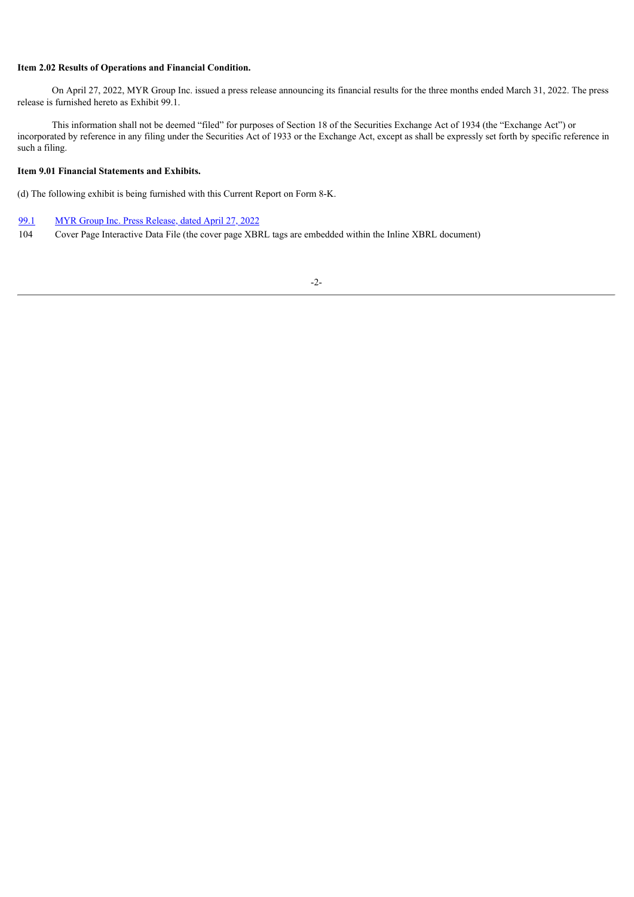#### **Item 2.02 Results of Operations and Financial Condition.**

On April 27, 2022, MYR Group Inc. issued a press release announcing its financial results for the three months ended March 31, 2022. The press release is furnished hereto as Exhibit 99.1.

This information shall not be deemed "filed" for purposes of Section 18 of the Securities Exchange Act of 1934 (the "Exchange Act") or incorporated by reference in any filing under the Securities Act of 1933 or the Exchange Act, except as shall be expressly set forth by specific reference in such a filing.

# **Item 9.01 Financial Statements and Exhibits.**

(d) The following exhibit is being furnished with this Current Report on Form 8-K.

#### [99.1](#page-3-0) MYR Group Inc. Press [Release,](#page-3-0) dated [April](#page-3-0) 27, [2022](#page-3-0)

104 Cover Page Interactive Data File (the cover page XBRL tags are embedded within the Inline XBRL document)

#### -2-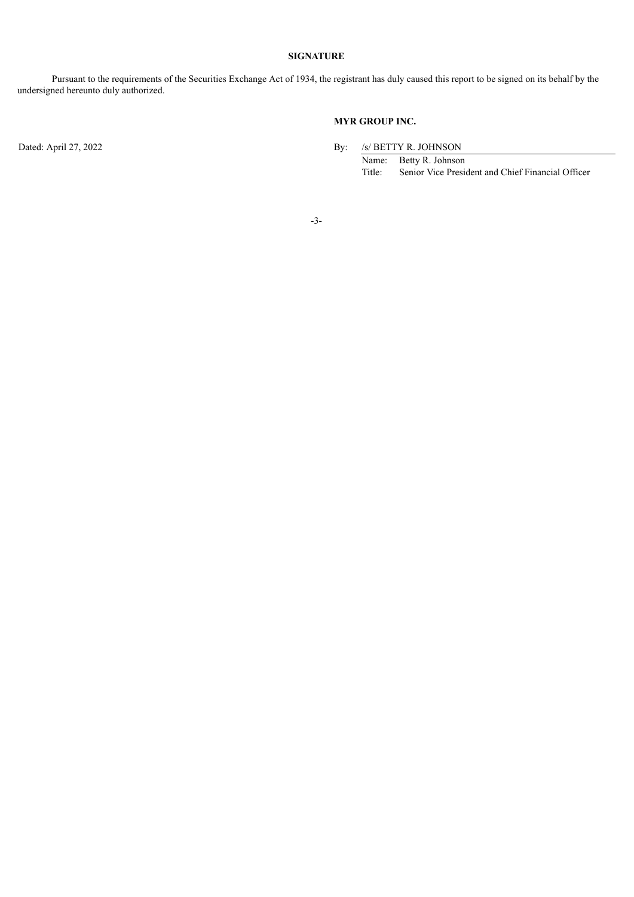# **SIGNATURE**

Pursuant to the requirements of the Securities Exchange Act of 1934, the registrant has duly caused this report to be signed on its behalf by the undersigned hereunto duly authorized.

# **MYR GROUP INC.**

Dated: April 27, 2022 By: /s/ BETTY R. JOHNSON

Name: Betty R. Johnson<br>Title: Senior Vice Presid Senior Vice President and Chief Financial Officer

-3-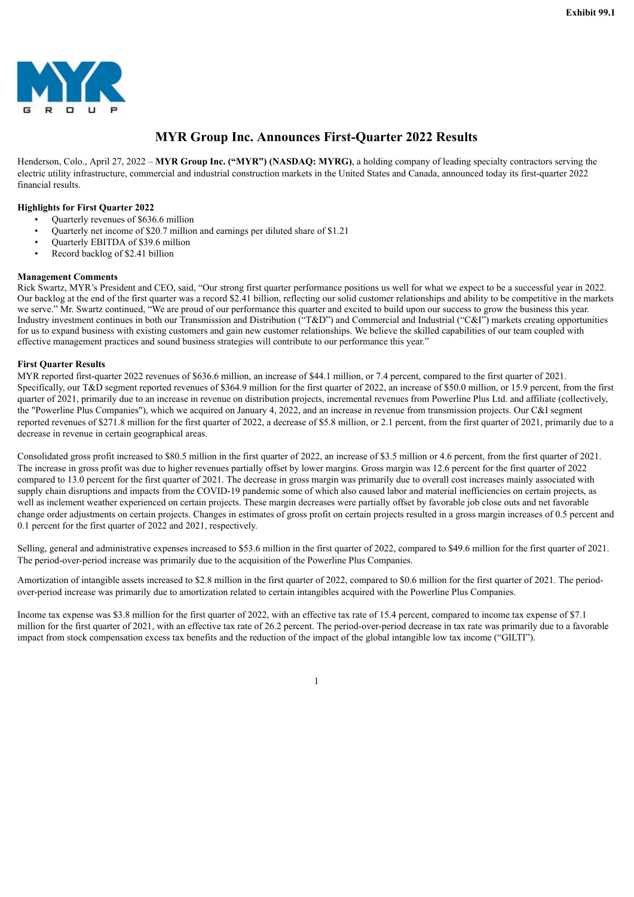<span id="page-3-0"></span>

# **MYR Group Inc. Announces First-Quarter 2022 Results**

Henderson, Colo., April 27, 2022 – **MYR Group Inc. ("MYR") (NASDAQ: MYRG)**, a holding company of leading specialty contractors serving the electric utility infrastructure, commercial and industrial construction markets in the United States and Canada, announced today its first-quarter 2022 financial results.

#### **Highlights for First Quarter 2022**

- Quarterly revenues of \$636.6 million
- Quarterly net income of \$20.7 million and earnings per diluted share of \$1.21
- Quarterly EBITDA of \$39.6 million
- Record backlog of \$2.41 billion

#### **Management Comments**

Rick Swartz, MYR's President and CEO, said, "Our strong first quarter performance positions us well for what we expect to be a successful year in 2022. Our backlog at the end of the first quarter was a record \$2.41 billion, reflecting our solid customer relationships and ability to be competitive in the markets we serve." Mr. Swartz continued, "We are proud of our performance this quarter and excited to build upon our success to grow the business this year. Industry investment continues in both our Transmission and Distribution ("T&D") and Commercial and Industrial ("C&I") markets creating opportunities for us to expand business with existing customers and gain new customer relationships. We believe the skilled capabilities of our team coupled with effective management practices and sound business strategies will contribute to our performance this year."

#### **First Quarter Results**

MYR reported first-quarter 2022 revenues of \$636.6 million, an increase of \$44.1 million, or 7.4 percent, compared to the first quarter of 2021. Specifically, our T&D segment reported revenues of \$364.9 million for the first quarter of 2022, an increase of \$50.0 million, or 15.9 percent, from the first quarter of 2021, primarily due to an increase in revenue on distribution projects, incremental revenues from Powerline Plus Ltd. and affiliate (collectively, the "Powerline Plus Companies"), which we acquired on January 4, 2022, and an increase in revenue from transmission projects. Our C&I segment reported revenues of \$271.8 million for the first quarter of 2022, a decrease of \$5.8 million, or 2.1 percent, from the first quarter of 2021, primarily due to a decrease in revenue in certain geographical areas.

Consolidated gross profit increased to \$80.5 million in the first quarter of 2022, an increase of \$3.5 million or 4.6 percent, from the first quarter of 2021. The increase in gross profit was due to higher revenues partially offset by lower margins. Gross margin was 12.6 percent for the first quarter of 2022 compared to 13.0 percent for the first quarter of 2021. The decrease in gross margin was primarily due to overall cost increases mainly associated with supply chain disruptions and impacts from the COVID-19 pandemic some of which also caused labor and material inefficiencies on certain projects, as well as inclement weather experienced on certain projects. These margin decreases were partially offset by favorable job close outs and net favorable change order adjustments on certain projects. Changes in estimates of gross profit on certain projects resulted in a gross margin increases of 0.5 percent and 0.1 percent for the first quarter of 2022 and 2021, respectively.

Selling, general and administrative expenses increased to \$53.6 million in the first quarter of 2022, compared to \$49.6 million for the first quarter of 2021. The period-over-period increase was primarily due to the acquisition of the Powerline Plus Companies.

Amortization of intangible assets increased to \$2.8 million in the first quarter of 2022, compared to \$0.6 million for the first quarter of 2021. The periodover-period increase was primarily due to amortization related to certain intangibles acquired with the Powerline Plus Companies.

Income tax expense was \$3.8 million for the first quarter of 2022, with an effective tax rate of 15.4 percent, compared to income tax expense of \$7.1 million for the first quarter of 2021, with an effective tax rate of 26.2 percent. The period-over-period decrease in tax rate was primarily due to a favorable impact from stock compensation excess tax benefits and the reduction of the impact of the global intangible low tax income ("GILTI").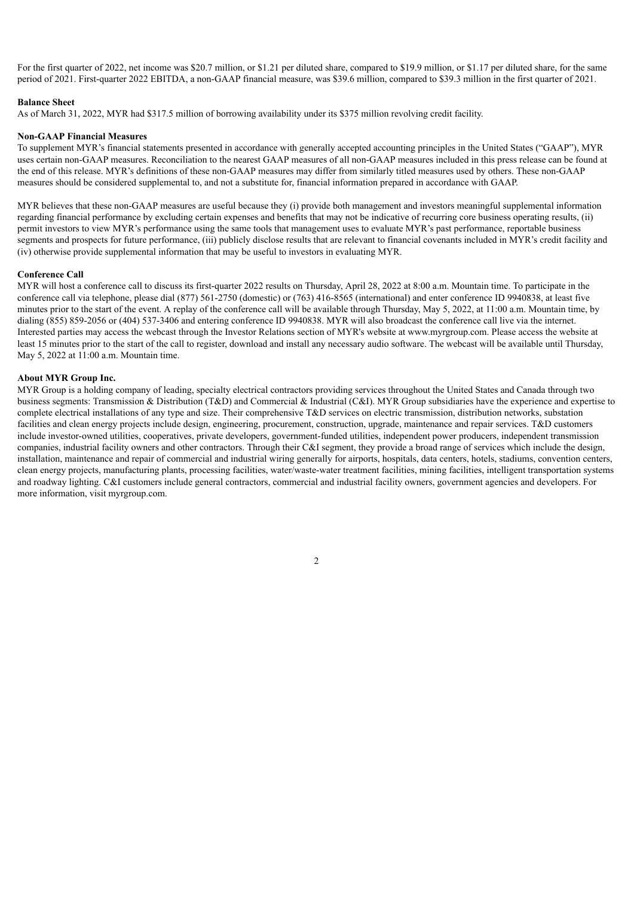For the first quarter of 2022, net income was \$20.7 million, or \$1.21 per diluted share, compared to \$19.9 million, or \$1.17 per diluted share, for the same period of 2021. First-quarter 2022 EBITDA, a non-GAAP financial measure, was \$39.6 million, compared to \$39.3 million in the first quarter of 2021.

#### **Balance Sheet**

As of March 31, 2022, MYR had \$317.5 million of borrowing availability under its \$375 million revolving credit facility.

#### **Non-GAAP Financial Measures**

To supplement MYR's financial statements presented in accordance with generally accepted accounting principles in the United States ("GAAP"), MYR uses certain non-GAAP measures. Reconciliation to the nearest GAAP measures of all non-GAAP measures included in this press release can be found at the end of this release. MYR's definitions of these non-GAAP measures may differ from similarly titled measures used by others. These non-GAAP measures should be considered supplemental to, and not a substitute for, financial information prepared in accordance with GAAP.

MYR believes that these non-GAAP measures are useful because they (i) provide both management and investors meaningful supplemental information regarding financial performance by excluding certain expenses and benefits that may not be indicative of recurring core business operating results, (ii) permit investors to view MYR's performance using the same tools that management uses to evaluate MYR's past performance, reportable business segments and prospects for future performance, (iii) publicly disclose results that are relevant to financial covenants included in MYR's credit facility and (iv) otherwise provide supplemental information that may be useful to investors in evaluating MYR.

#### **Conference Call**

MYR will host a conference call to discuss its first-quarter 2022 results on Thursday, April 28, 2022 at 8:00 a.m. Mountain time. To participate in the conference call via telephone, please dial (877) 561-2750 (domestic) or (763) 416-8565 (international) and enter conference ID 9940838, at least five minutes prior to the start of the event. A replay of the conference call will be available through Thursday, May 5, 2022, at 11:00 a.m. Mountain time, by dialing (855) 859-2056 or (404) 537-3406 and entering conference ID 9940838. MYR will also broadcast the conference call live via the internet. Interested parties may access the webcast through the Investor Relations section of MYR's website at www.myrgroup.com. Please access the website at least 15 minutes prior to the start of the call to register, download and install any necessary audio software. The webcast will be available until Thursday, May 5, 2022 at 11:00 a.m. Mountain time.

#### **About MYR Group Inc.**

MYR Group is a holding company of leading, specialty electrical contractors providing services throughout the United States and Canada through two business segments: Transmission & Distribution (T&D) and Commercial & Industrial (C&I). MYR Group subsidiaries have the experience and expertise to complete electrical installations of any type and size. Their comprehensive T&D services on electric transmission, distribution networks, substation facilities and clean energy projects include design, engineering, procurement, construction, upgrade, maintenance and repair services. T&D customers include investor-owned utilities, cooperatives, private developers, government-funded utilities, independent power producers, independent transmission companies, industrial facility owners and other contractors. Through their C&I segment, they provide a broad range of services which include the design, installation, maintenance and repair of commercial and industrial wiring generally for airports, hospitals, data centers, hotels, stadiums, convention centers, clean energy projects, manufacturing plants, processing facilities, water/waste-water treatment facilities, mining facilities, intelligent transportation systems and roadway lighting. C&I customers include general contractors, commercial and industrial facility owners, government agencies and developers. For more information, visit myrgroup.com.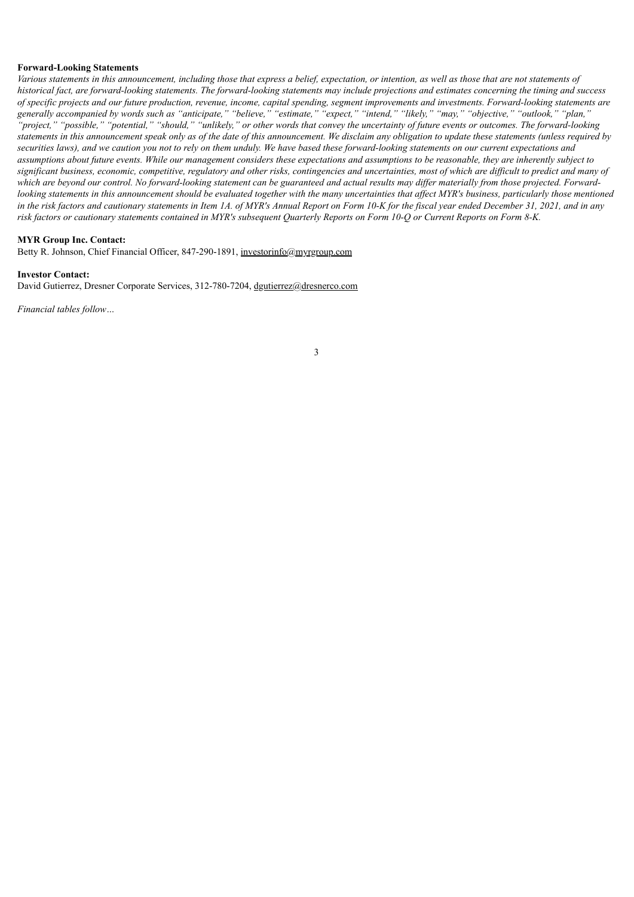#### **Forward-Looking Statements**

Various statements in this announcement, including those that express a belief, expectation, or intention, as well as those that are not statements of historical fact, are forward-looking statements. The forward-looking statements may include projections and estimates concerning the timing and success of specific projects and our future production, revenue, income, capital spending, segment improvements and investments. Forward-looking statements are generally accompanied by words such as "anticipate," "believe," "estimate," "expect," "intend," "likely," "may," "objective," "outlook," "plan," "project," "possible," "potential," "should," "unlikely," or other words that convey the uncertainty of future events or outcomes. The forward-looking statements in this announcement speak only as of the date of this announcement. We disclaim any obligation to update these statements (unless required by securities laws), and we caution you not to rely on them unduly. We have based these forward-looking statements on our current expectations and assumptions about future events. While our management considers these expectations and assumptions to be reasonable, they are inherently subject to significant business, economic, competitive, regulatory and other risks, contingencies and uncertainties, most of which are difficult to predict and many of which are beyond our control. No forward-looking statement can be guaranteed and actual results may differ materially from those projected. Forwardlooking statements in this announcement should be evaluated together with the many uncertainties that affect MYR's business, particularly those mentioned in the risk factors and cautionary statements in Item 1A. of MYR's Annual Report on Form 10-K for the fiscal year ended December 31, 2021, and in any risk factors or cautionary statements contained in MYR's subsequent Ouarterly Reports on Form 10-O or Current Reports on Form 8-K.

#### **MYR Group Inc. Contact:**

Betty R. Johnson, Chief Financial Officer, 847-290-1891, investorinfo@myrgroup.com

#### **Investor Contact:**

David Gutierrez, Dresner Corporate Services, 312-780-7204, dgutierrez@dresnerco.com

*Financial tables follow…*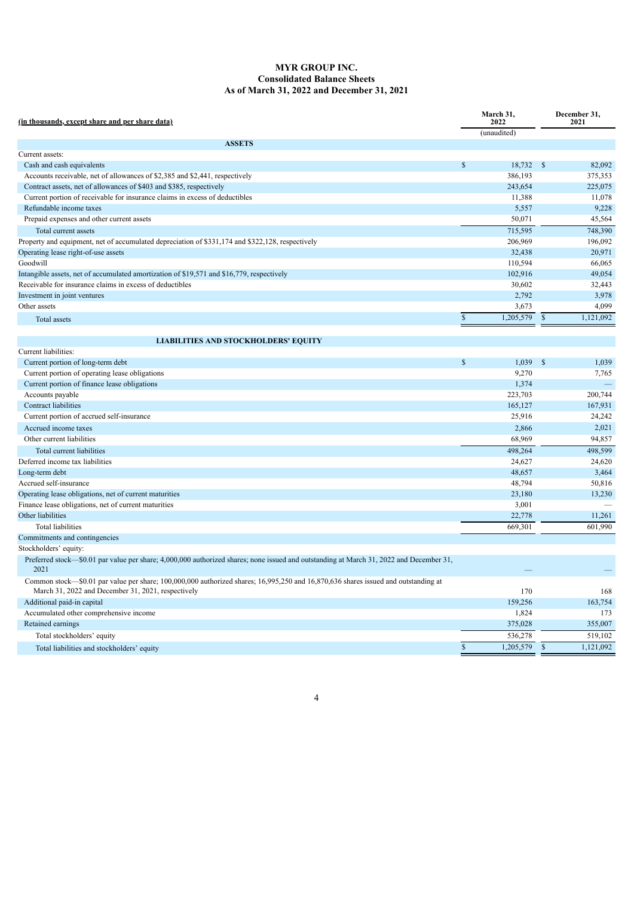# **MYR GROUP INC. Consolidated Balance Sheets As of March 31, 2022 and December 31, 2021**

| (in thousands, except share and per share data)                                                                                                                                          |             | March 31,<br>2022 |               | December 31,<br>2021 |  |
|------------------------------------------------------------------------------------------------------------------------------------------------------------------------------------------|-------------|-------------------|---------------|----------------------|--|
|                                                                                                                                                                                          |             | (unaudited)       |               |                      |  |
| <b>ASSETS</b>                                                                                                                                                                            |             |                   |               |                      |  |
| Current assets:                                                                                                                                                                          |             |                   |               |                      |  |
| Cash and cash equivalents                                                                                                                                                                | \$          | 18,732            | <sup>\$</sup> | 82,092               |  |
| Accounts receivable, net of allowances of \$2,385 and \$2,441, respectively                                                                                                              |             | 386,193           |               | 375,353              |  |
| Contract assets, net of allowances of \$403 and \$385, respectively                                                                                                                      |             | 243,654           |               | 225,075              |  |
| Current portion of receivable for insurance claims in excess of deductibles                                                                                                              |             | 11,388            |               | 11,078               |  |
| Refundable income taxes                                                                                                                                                                  |             | 5,557             |               | 9,228                |  |
| Prepaid expenses and other current assets                                                                                                                                                |             | 50,071            |               | 45,564               |  |
| Total current assets                                                                                                                                                                     |             | 715,595           |               | 748,390              |  |
| Property and equipment, net of accumulated depreciation of \$331,174 and \$322,128, respectively                                                                                         |             | 206,969           |               | 196,092              |  |
| Operating lease right-of-use assets                                                                                                                                                      |             | 32,438            |               | 20,971               |  |
| Goodwill                                                                                                                                                                                 |             | 110,594           |               | 66,065               |  |
| Intangible assets, net of accumulated amortization of \$19,571 and \$16,779, respectively                                                                                                |             | 102,916           |               | 49,054               |  |
| Receivable for insurance claims in excess of deductibles                                                                                                                                 |             | 30,602            |               | 32,443               |  |
| Investment in joint ventures                                                                                                                                                             |             | 2,792             |               | 3,978                |  |
| Other assets                                                                                                                                                                             |             | 3,673             |               | 4,099                |  |
| Total assets                                                                                                                                                                             | $\mathbf S$ | 1,205,579         | $\mathbb{S}$  | 1,121,092            |  |
|                                                                                                                                                                                          |             |                   |               |                      |  |
| <b>LIABILITIES AND STOCKHOLDERS' EQUITY</b>                                                                                                                                              |             |                   |               |                      |  |
| Current liabilities:                                                                                                                                                                     |             |                   |               |                      |  |
| Current portion of long-term debt                                                                                                                                                        | \$          | 1,039             | -\$           | 1,039                |  |
| Current portion of operating lease obligations                                                                                                                                           |             | 9,270             |               | 7,765                |  |
| Current portion of finance lease obligations                                                                                                                                             |             | 1,374             |               |                      |  |
| Accounts payable                                                                                                                                                                         |             | 223,703           |               | 200,744              |  |
| Contract liabilities                                                                                                                                                                     |             | 165,127           |               | 167,931              |  |
| Current portion of accrued self-insurance                                                                                                                                                |             | 25,916            |               | 24,242               |  |
| Accrued income taxes                                                                                                                                                                     |             | 2,866             |               | 2,021                |  |
| Other current liabilities                                                                                                                                                                |             | 68,969            |               | 94,857               |  |
| Total current liabilities                                                                                                                                                                |             | 498,264           |               | 498,599              |  |
| Deferred income tax liabilities                                                                                                                                                          |             | 24,627            |               | 24,620               |  |
| Long-term debt                                                                                                                                                                           |             | 48,657            |               | 3,464                |  |
| Accrued self-insurance                                                                                                                                                                   |             | 48,794            |               | 50,816               |  |
| Operating lease obligations, net of current maturities                                                                                                                                   |             | 23,180            |               | 13,230               |  |
| Finance lease obligations, net of current maturities                                                                                                                                     |             | 3,001             |               |                      |  |
| Other liabilities                                                                                                                                                                        |             | 22,778            |               | 11,261               |  |
| <b>Total liabilities</b>                                                                                                                                                                 |             | 669,301           |               | 601,990              |  |
| Commitments and contingencies                                                                                                                                                            |             |                   |               |                      |  |
| Stockholders' equity:                                                                                                                                                                    |             |                   |               |                      |  |
| Preferred stock—\$0.01 par value per share; 4,000,000 authorized shares; none issued and outstanding at March 31, 2022 and December 31,<br>2021                                          |             |                   |               |                      |  |
| Common stock—\$0.01 par value per share; 100,000,000 authorized shares; 16,995,250 and 16,870,636 shares issued and outstanding at<br>March 31, 2022 and December 31, 2021, respectively |             | 170               |               | 168                  |  |
| Additional paid-in capital                                                                                                                                                               |             | 159,256           |               | 163,754              |  |
| Accumulated other comprehensive income                                                                                                                                                   |             | 1,824             |               | 173                  |  |
| Retained earnings                                                                                                                                                                        |             | 375,028           |               | 355,007              |  |
| Total stockholders' equity                                                                                                                                                               |             | 536,278           |               | 519,102              |  |
| Total liabilities and stockholders' equity                                                                                                                                               | $\mathbf S$ | 1,205,579         | $\mathbb{S}$  | 1,121,092            |  |
|                                                                                                                                                                                          |             |                   |               |                      |  |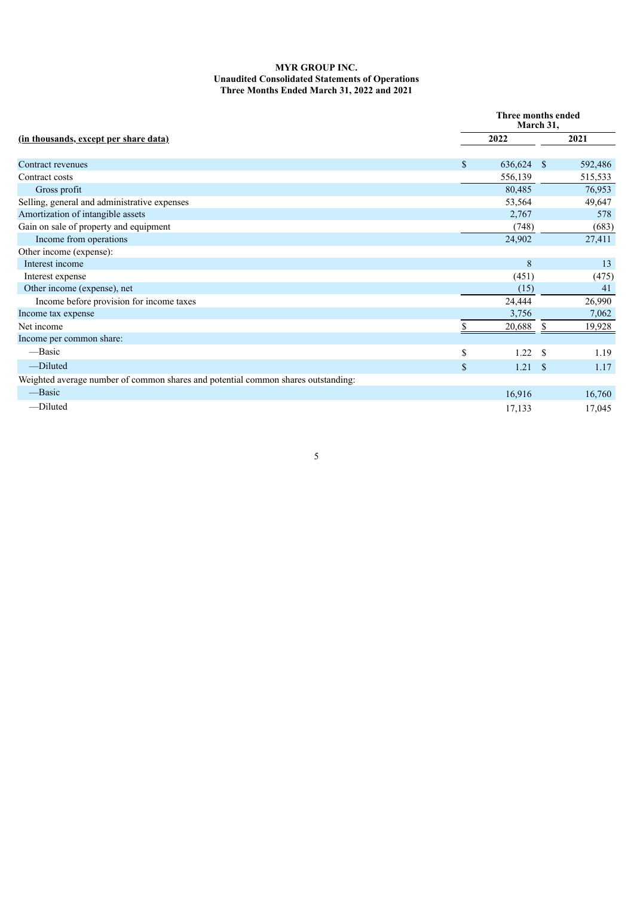# **MYR GROUP INC. Unaudited Consolidated Statements of Operations Three Months Ended March 31, 2022 and 2021**

|                                                                                   |             | Three months ended<br>March 31, |               |         |  |  |  |
|-----------------------------------------------------------------------------------|-------------|---------------------------------|---------------|---------|--|--|--|
| <u>(in thousands, except per share data)</u>                                      |             | 2022                            |               | 2021    |  |  |  |
| Contract revenues                                                                 | \$          | 636,624                         | -S            | 592,486 |  |  |  |
| Contract costs                                                                    |             | 556,139                         |               | 515,533 |  |  |  |
| Gross profit                                                                      |             | 80,485                          |               | 76,953  |  |  |  |
| Selling, general and administrative expenses                                      |             | 53,564                          |               | 49,647  |  |  |  |
| Amortization of intangible assets                                                 |             | 2,767                           |               | 578     |  |  |  |
| Gain on sale of property and equipment                                            |             | (748)                           |               | (683)   |  |  |  |
| Income from operations                                                            |             | 24,902                          |               | 27,411  |  |  |  |
| Other income (expense):                                                           |             |                                 |               |         |  |  |  |
| Interest income                                                                   |             | 8                               |               | 13      |  |  |  |
| Interest expense                                                                  |             | (451)                           |               | (475)   |  |  |  |
| Other income (expense), net                                                       |             | (15)                            |               | 41      |  |  |  |
| Income before provision for income taxes                                          |             | 24,444                          |               | 26,990  |  |  |  |
| Income tax expense                                                                |             | 3,756                           |               | 7,062   |  |  |  |
| Net income                                                                        |             | 20,688                          | S             | 19,928  |  |  |  |
| Income per common share:                                                          |             |                                 |               |         |  |  |  |
| —Basic                                                                            | \$          | 1.22                            | \$.           | 1.19    |  |  |  |
| -Diluted                                                                          | $\mathbf S$ | 1.21                            | <sup>\$</sup> | 1.17    |  |  |  |
| Weighted average number of common shares and potential common shares outstanding: |             |                                 |               |         |  |  |  |
| -Basic                                                                            |             | 16,916                          |               | 16,760  |  |  |  |
| -Diluted                                                                          |             | 17,133                          |               | 17,045  |  |  |  |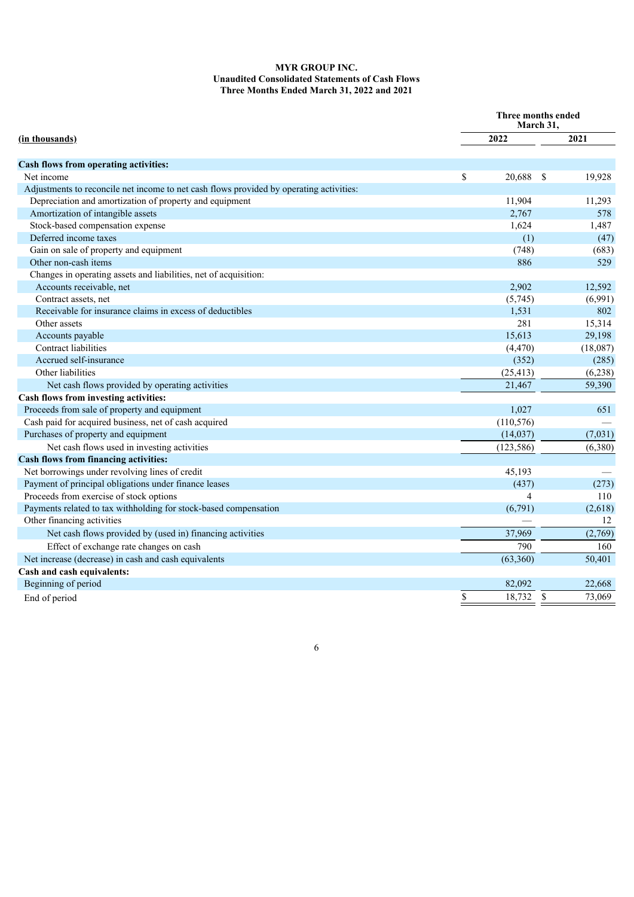# **MYR GROUP INC. Unaudited Consolidated Statements of Cash Flows Three Months Ended March 31, 2022 and 2021**

| 2021<br>2022<br>Cash flows from operating activities:<br>19,928<br>Net income<br>\$<br>20,688<br><sup>\$</sup><br>Adjustments to reconcile net income to net cash flows provided by operating activities:<br>Depreciation and amortization of property and equipment<br>11,904<br>11,293<br>Amortization of intangible assets<br>2,767<br>578<br>Stock-based compensation expense<br>1,624<br>1,487<br>Deferred income taxes<br>(1)<br>(47)<br>Gain on sale of property and equipment<br>(748)<br>(683)<br>Other non-cash items<br>886<br>529<br>Changes in operating assets and liabilities, net of acquisition:<br>Accounts receivable, net<br>2,902<br>12,592<br>Contract assets, net<br>(5,745)<br>(6,991)<br>Receivable for insurance claims in excess of deductibles<br>1,531<br>802<br>281<br>15,314<br>Other assets<br>15,613<br>29,198<br>Accounts payable<br>Contract liabilities<br>(18,087)<br>(4, 470)<br>Accrued self-insurance<br>(352)<br>(285)<br>Other liabilities<br>(25, 413)<br>(6,238)<br>59,390<br>Net cash flows provided by operating activities<br>21,467<br>Proceeds from sale of property and equipment<br>1,027<br>651<br>Cash paid for acquired business, net of cash acquired<br>(110, 576)<br>Purchases of property and equipment<br>(14,037)<br>(7,031)<br>Net cash flows used in investing activities<br>(123, 586)<br>(6,380)<br>Net borrowings under revolving lines of credit<br>45,193<br>Payment of principal obligations under finance leases<br>(437)<br>(273)<br>Proceeds from exercise of stock options<br>4<br>110<br>Payments related to tax withholding for stock-based compensation<br>(6,791)<br>(2,618)<br>Other financing activities<br>12<br>Net cash flows provided by (used in) financing activities<br>37,969<br>(2,769)<br>Effect of exchange rate changes on cash<br>790<br>160<br>Net increase (decrease) in cash and cash equivalents<br>(63, 360)<br>50,401<br>Beginning of period<br>82,092<br>22,668 |                                              | Three months ended<br>March 31, |              |        |
|-------------------------------------------------------------------------------------------------------------------------------------------------------------------------------------------------------------------------------------------------------------------------------------------------------------------------------------------------------------------------------------------------------------------------------------------------------------------------------------------------------------------------------------------------------------------------------------------------------------------------------------------------------------------------------------------------------------------------------------------------------------------------------------------------------------------------------------------------------------------------------------------------------------------------------------------------------------------------------------------------------------------------------------------------------------------------------------------------------------------------------------------------------------------------------------------------------------------------------------------------------------------------------------------------------------------------------------------------------------------------------------------------------------------------------------------------------------------------------------------------------------------------------------------------------------------------------------------------------------------------------------------------------------------------------------------------------------------------------------------------------------------------------------------------------------------------------------------------------------------------------------------------------------------------------------------------------------------|----------------------------------------------|---------------------------------|--------------|--------|
|                                                                                                                                                                                                                                                                                                                                                                                                                                                                                                                                                                                                                                                                                                                                                                                                                                                                                                                                                                                                                                                                                                                                                                                                                                                                                                                                                                                                                                                                                                                                                                                                                                                                                                                                                                                                                                                                                                                                                                   | (in thousands)                               |                                 |              |        |
|                                                                                                                                                                                                                                                                                                                                                                                                                                                                                                                                                                                                                                                                                                                                                                                                                                                                                                                                                                                                                                                                                                                                                                                                                                                                                                                                                                                                                                                                                                                                                                                                                                                                                                                                                                                                                                                                                                                                                                   |                                              |                                 |              |        |
|                                                                                                                                                                                                                                                                                                                                                                                                                                                                                                                                                                                                                                                                                                                                                                                                                                                                                                                                                                                                                                                                                                                                                                                                                                                                                                                                                                                                                                                                                                                                                                                                                                                                                                                                                                                                                                                                                                                                                                   |                                              |                                 |              |        |
|                                                                                                                                                                                                                                                                                                                                                                                                                                                                                                                                                                                                                                                                                                                                                                                                                                                                                                                                                                                                                                                                                                                                                                                                                                                                                                                                                                                                                                                                                                                                                                                                                                                                                                                                                                                                                                                                                                                                                                   |                                              |                                 |              |        |
|                                                                                                                                                                                                                                                                                                                                                                                                                                                                                                                                                                                                                                                                                                                                                                                                                                                                                                                                                                                                                                                                                                                                                                                                                                                                                                                                                                                                                                                                                                                                                                                                                                                                                                                                                                                                                                                                                                                                                                   |                                              |                                 |              |        |
|                                                                                                                                                                                                                                                                                                                                                                                                                                                                                                                                                                                                                                                                                                                                                                                                                                                                                                                                                                                                                                                                                                                                                                                                                                                                                                                                                                                                                                                                                                                                                                                                                                                                                                                                                                                                                                                                                                                                                                   |                                              |                                 |              |        |
|                                                                                                                                                                                                                                                                                                                                                                                                                                                                                                                                                                                                                                                                                                                                                                                                                                                                                                                                                                                                                                                                                                                                                                                                                                                                                                                                                                                                                                                                                                                                                                                                                                                                                                                                                                                                                                                                                                                                                                   |                                              |                                 |              |        |
|                                                                                                                                                                                                                                                                                                                                                                                                                                                                                                                                                                                                                                                                                                                                                                                                                                                                                                                                                                                                                                                                                                                                                                                                                                                                                                                                                                                                                                                                                                                                                                                                                                                                                                                                                                                                                                                                                                                                                                   |                                              |                                 |              |        |
|                                                                                                                                                                                                                                                                                                                                                                                                                                                                                                                                                                                                                                                                                                                                                                                                                                                                                                                                                                                                                                                                                                                                                                                                                                                                                                                                                                                                                                                                                                                                                                                                                                                                                                                                                                                                                                                                                                                                                                   |                                              |                                 |              |        |
|                                                                                                                                                                                                                                                                                                                                                                                                                                                                                                                                                                                                                                                                                                                                                                                                                                                                                                                                                                                                                                                                                                                                                                                                                                                                                                                                                                                                                                                                                                                                                                                                                                                                                                                                                                                                                                                                                                                                                                   |                                              |                                 |              |        |
|                                                                                                                                                                                                                                                                                                                                                                                                                                                                                                                                                                                                                                                                                                                                                                                                                                                                                                                                                                                                                                                                                                                                                                                                                                                                                                                                                                                                                                                                                                                                                                                                                                                                                                                                                                                                                                                                                                                                                                   |                                              |                                 |              |        |
|                                                                                                                                                                                                                                                                                                                                                                                                                                                                                                                                                                                                                                                                                                                                                                                                                                                                                                                                                                                                                                                                                                                                                                                                                                                                                                                                                                                                                                                                                                                                                                                                                                                                                                                                                                                                                                                                                                                                                                   |                                              |                                 |              |        |
|                                                                                                                                                                                                                                                                                                                                                                                                                                                                                                                                                                                                                                                                                                                                                                                                                                                                                                                                                                                                                                                                                                                                                                                                                                                                                                                                                                                                                                                                                                                                                                                                                                                                                                                                                                                                                                                                                                                                                                   |                                              |                                 |              |        |
|                                                                                                                                                                                                                                                                                                                                                                                                                                                                                                                                                                                                                                                                                                                                                                                                                                                                                                                                                                                                                                                                                                                                                                                                                                                                                                                                                                                                                                                                                                                                                                                                                                                                                                                                                                                                                                                                                                                                                                   |                                              |                                 |              |        |
|                                                                                                                                                                                                                                                                                                                                                                                                                                                                                                                                                                                                                                                                                                                                                                                                                                                                                                                                                                                                                                                                                                                                                                                                                                                                                                                                                                                                                                                                                                                                                                                                                                                                                                                                                                                                                                                                                                                                                                   |                                              |                                 |              |        |
|                                                                                                                                                                                                                                                                                                                                                                                                                                                                                                                                                                                                                                                                                                                                                                                                                                                                                                                                                                                                                                                                                                                                                                                                                                                                                                                                                                                                                                                                                                                                                                                                                                                                                                                                                                                                                                                                                                                                                                   |                                              |                                 |              |        |
|                                                                                                                                                                                                                                                                                                                                                                                                                                                                                                                                                                                                                                                                                                                                                                                                                                                                                                                                                                                                                                                                                                                                                                                                                                                                                                                                                                                                                                                                                                                                                                                                                                                                                                                                                                                                                                                                                                                                                                   |                                              |                                 |              |        |
|                                                                                                                                                                                                                                                                                                                                                                                                                                                                                                                                                                                                                                                                                                                                                                                                                                                                                                                                                                                                                                                                                                                                                                                                                                                                                                                                                                                                                                                                                                                                                                                                                                                                                                                                                                                                                                                                                                                                                                   |                                              |                                 |              |        |
|                                                                                                                                                                                                                                                                                                                                                                                                                                                                                                                                                                                                                                                                                                                                                                                                                                                                                                                                                                                                                                                                                                                                                                                                                                                                                                                                                                                                                                                                                                                                                                                                                                                                                                                                                                                                                                                                                                                                                                   |                                              |                                 |              |        |
|                                                                                                                                                                                                                                                                                                                                                                                                                                                                                                                                                                                                                                                                                                                                                                                                                                                                                                                                                                                                                                                                                                                                                                                                                                                                                                                                                                                                                                                                                                                                                                                                                                                                                                                                                                                                                                                                                                                                                                   |                                              |                                 |              |        |
|                                                                                                                                                                                                                                                                                                                                                                                                                                                                                                                                                                                                                                                                                                                                                                                                                                                                                                                                                                                                                                                                                                                                                                                                                                                                                                                                                                                                                                                                                                                                                                                                                                                                                                                                                                                                                                                                                                                                                                   | Cash flows from investing activities:        |                                 |              |        |
|                                                                                                                                                                                                                                                                                                                                                                                                                                                                                                                                                                                                                                                                                                                                                                                                                                                                                                                                                                                                                                                                                                                                                                                                                                                                                                                                                                                                                                                                                                                                                                                                                                                                                                                                                                                                                                                                                                                                                                   |                                              |                                 |              |        |
|                                                                                                                                                                                                                                                                                                                                                                                                                                                                                                                                                                                                                                                                                                                                                                                                                                                                                                                                                                                                                                                                                                                                                                                                                                                                                                                                                                                                                                                                                                                                                                                                                                                                                                                                                                                                                                                                                                                                                                   |                                              |                                 |              |        |
|                                                                                                                                                                                                                                                                                                                                                                                                                                                                                                                                                                                                                                                                                                                                                                                                                                                                                                                                                                                                                                                                                                                                                                                                                                                                                                                                                                                                                                                                                                                                                                                                                                                                                                                                                                                                                                                                                                                                                                   |                                              |                                 |              |        |
|                                                                                                                                                                                                                                                                                                                                                                                                                                                                                                                                                                                                                                                                                                                                                                                                                                                                                                                                                                                                                                                                                                                                                                                                                                                                                                                                                                                                                                                                                                                                                                                                                                                                                                                                                                                                                                                                                                                                                                   |                                              |                                 |              |        |
|                                                                                                                                                                                                                                                                                                                                                                                                                                                                                                                                                                                                                                                                                                                                                                                                                                                                                                                                                                                                                                                                                                                                                                                                                                                                                                                                                                                                                                                                                                                                                                                                                                                                                                                                                                                                                                                                                                                                                                   | <b>Cash flows from financing activities:</b> |                                 |              |        |
|                                                                                                                                                                                                                                                                                                                                                                                                                                                                                                                                                                                                                                                                                                                                                                                                                                                                                                                                                                                                                                                                                                                                                                                                                                                                                                                                                                                                                                                                                                                                                                                                                                                                                                                                                                                                                                                                                                                                                                   |                                              |                                 |              |        |
|                                                                                                                                                                                                                                                                                                                                                                                                                                                                                                                                                                                                                                                                                                                                                                                                                                                                                                                                                                                                                                                                                                                                                                                                                                                                                                                                                                                                                                                                                                                                                                                                                                                                                                                                                                                                                                                                                                                                                                   |                                              |                                 |              |        |
|                                                                                                                                                                                                                                                                                                                                                                                                                                                                                                                                                                                                                                                                                                                                                                                                                                                                                                                                                                                                                                                                                                                                                                                                                                                                                                                                                                                                                                                                                                                                                                                                                                                                                                                                                                                                                                                                                                                                                                   |                                              |                                 |              |        |
|                                                                                                                                                                                                                                                                                                                                                                                                                                                                                                                                                                                                                                                                                                                                                                                                                                                                                                                                                                                                                                                                                                                                                                                                                                                                                                                                                                                                                                                                                                                                                                                                                                                                                                                                                                                                                                                                                                                                                                   |                                              |                                 |              |        |
|                                                                                                                                                                                                                                                                                                                                                                                                                                                                                                                                                                                                                                                                                                                                                                                                                                                                                                                                                                                                                                                                                                                                                                                                                                                                                                                                                                                                                                                                                                                                                                                                                                                                                                                                                                                                                                                                                                                                                                   |                                              |                                 |              |        |
|                                                                                                                                                                                                                                                                                                                                                                                                                                                                                                                                                                                                                                                                                                                                                                                                                                                                                                                                                                                                                                                                                                                                                                                                                                                                                                                                                                                                                                                                                                                                                                                                                                                                                                                                                                                                                                                                                                                                                                   |                                              |                                 |              |        |
|                                                                                                                                                                                                                                                                                                                                                                                                                                                                                                                                                                                                                                                                                                                                                                                                                                                                                                                                                                                                                                                                                                                                                                                                                                                                                                                                                                                                                                                                                                                                                                                                                                                                                                                                                                                                                                                                                                                                                                   |                                              |                                 |              |        |
|                                                                                                                                                                                                                                                                                                                                                                                                                                                                                                                                                                                                                                                                                                                                                                                                                                                                                                                                                                                                                                                                                                                                                                                                                                                                                                                                                                                                                                                                                                                                                                                                                                                                                                                                                                                                                                                                                                                                                                   |                                              |                                 |              |        |
|                                                                                                                                                                                                                                                                                                                                                                                                                                                                                                                                                                                                                                                                                                                                                                                                                                                                                                                                                                                                                                                                                                                                                                                                                                                                                                                                                                                                                                                                                                                                                                                                                                                                                                                                                                                                                                                                                                                                                                   | Cash and cash equivalents:                   |                                 |              |        |
|                                                                                                                                                                                                                                                                                                                                                                                                                                                                                                                                                                                                                                                                                                                                                                                                                                                                                                                                                                                                                                                                                                                                                                                                                                                                                                                                                                                                                                                                                                                                                                                                                                                                                                                                                                                                                                                                                                                                                                   |                                              |                                 |              |        |
| End of period                                                                                                                                                                                                                                                                                                                                                                                                                                                                                                                                                                                                                                                                                                                                                                                                                                                                                                                                                                                                                                                                                                                                                                                                                                                                                                                                                                                                                                                                                                                                                                                                                                                                                                                                                                                                                                                                                                                                                     |                                              | \$<br>18,732                    | $\mathbb{S}$ | 73,069 |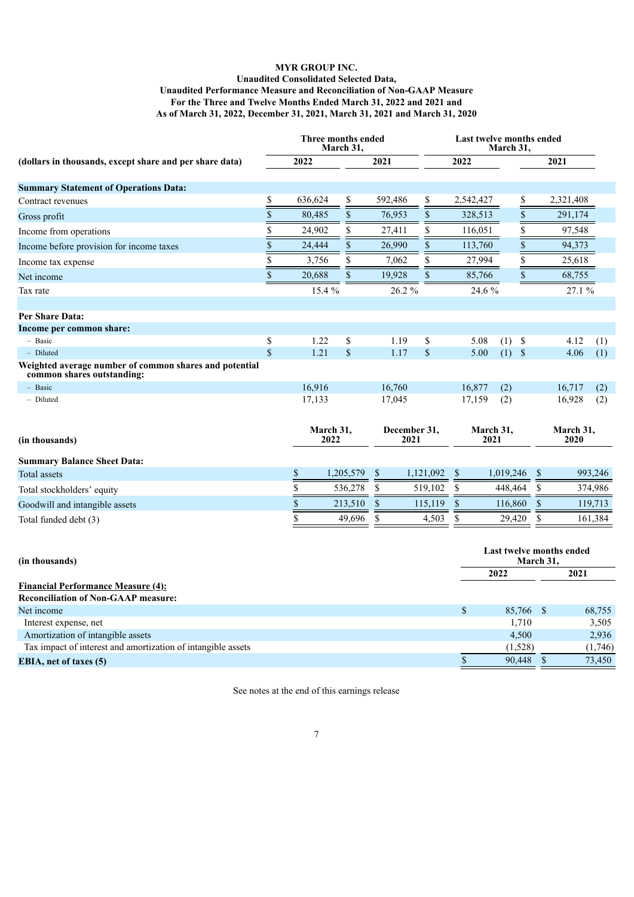# **MYR GROUP INC. Unaudited Consolidated Selected Data, Unaudited Performance Measure and Reconciliation of Non-GAAP Measure For the Three and Twelve Months Ended March 31, 2022 and 2021 and As of March 31, 2022, December 31, 2021, March 31, 2021 and March 31, 2020**

|                                                                                         |                 | Three months ended<br>March 31, |                    | Last twelve months ended<br>March 31, |                                       |                    |                 |                    |                   |         |
|-----------------------------------------------------------------------------------------|-----------------|---------------------------------|--------------------|---------------------------------------|---------------------------------------|--------------------|-----------------|--------------------|-------------------|---------|
| (dollars in thousands, except share and per share data)                                 |                 | 2022                            |                    | 2021                                  |                                       | 2022               |                 |                    | 2021              |         |
| <b>Summary Statement of Operations Data:</b>                                            |                 |                                 |                    |                                       |                                       |                    |                 |                    |                   |         |
| Contract revenues                                                                       | \$              | 636,624                         | \$                 | 592,486                               | \$                                    | 2,542,427          | \$              |                    | 2,321,408         |         |
|                                                                                         | $\overline{\$}$ | 80,485                          | \$                 | 76,953                                | \$                                    | 328,513            | \$              |                    | 291,174           |         |
| Gross profit                                                                            |                 |                                 |                    |                                       |                                       |                    |                 |                    |                   |         |
| Income from operations                                                                  | \$              | 24,902                          | \$                 | 27,411                                | \$                                    | 116,051            | \$              |                    | 97,548            |         |
| Income before provision for income taxes                                                | \$              | 24,444                          | \$                 | 26,990                                | \$                                    | 113,760            | $\overline{\$}$ |                    | 94,373            |         |
| Income tax expense                                                                      | \$              | 3,756                           | \$                 | 7,062                                 | \$                                    | 27,994             | \$              |                    | 25,618            |         |
| Net income                                                                              | \$              | 20,688                          | \$                 | 19,928                                | \$                                    | 85,766             | $\$$            |                    | 68,755            |         |
| Tax rate                                                                                |                 | 15.4%                           |                    | 26.2 %                                |                                       | 24.6 %             |                 |                    | 27.1%             |         |
| Per Share Data:                                                                         |                 |                                 |                    |                                       |                                       |                    |                 |                    |                   |         |
| Income per common share:                                                                |                 |                                 |                    |                                       |                                       |                    |                 |                    |                   |         |
| - Basic                                                                                 | \$              | 1.22                            | $\$$               | 1.19                                  | \$                                    | 5.08               | (1)<br>\$       |                    | 4.12              | (1)     |
| - Diluted                                                                               | \$              | 1.21                            | $\mathbf{\hat{S}}$ | 1.17                                  | $\boldsymbol{\mathsf{S}}$             | 5.00               | $(1)$ \$        |                    | 4.06              | (1)     |
| Weighted average number of common shares and potential<br>common shares outstanding:    |                 |                                 |                    |                                       |                                       |                    |                 |                    |                   |         |
| $-$ Basic                                                                               |                 | 16,916                          |                    | 16,760                                |                                       | 16,877             | (2)             |                    | 16,717            | (2)     |
| - Diluted                                                                               |                 | 17,133                          |                    | 17,045                                |                                       | 17,159             | (2)             |                    | 16,928            | (2)     |
| (in thousands)                                                                          |                 | March 31,<br>2022               |                    | December 31,<br>2021                  |                                       | March 31,<br>2021  |                 |                    | March 31,<br>2020 |         |
| <b>Summary Balance Sheet Data:</b>                                                      |                 |                                 |                    |                                       |                                       |                    |                 |                    |                   |         |
| Total assets                                                                            |                 | $\mathbf S$                     | 1,205,579          | $\mathbb{S}$                          | 1,121,092                             | $\mathbf{\hat{S}}$ | 1,019,246       | \$                 |                   | 993,246 |
| Total stockholders' equity                                                              |                 | \$                              | 536,278            | \$                                    | 519,102                               | \$                 | 448,464         | $\mathbb{S}$       |                   | 374,986 |
|                                                                                         |                 | \$                              | 213,510            | \$                                    | 115,119                               | $\$$               | 116,860         | S                  |                   | 119,713 |
| Goodwill and intangible assets                                                          |                 | \$                              |                    |                                       |                                       |                    |                 |                    |                   |         |
| Total funded debt (3)                                                                   |                 |                                 | 49,696             | $\mathbb{S}$                          | 4,503                                 | \$                 | 29,420          | \$                 |                   | 161,384 |
| (in thousands)                                                                          |                 |                                 |                    |                                       | Last twelve months ended<br>March 31, |                    |                 |                    |                   |         |
|                                                                                         |                 |                                 |                    |                                       |                                       |                    | 2022            |                    | 2021              |         |
| <b>Financial Performance Measure (4):</b><br><b>Reconciliation of Non-GAAP measure:</b> |                 |                                 |                    |                                       |                                       |                    |                 |                    |                   |         |
| Net income                                                                              |                 |                                 |                    |                                       |                                       | \$                 | 85,766 \$       |                    |                   | 68,755  |
| Interest expense, net                                                                   |                 |                                 |                    |                                       |                                       |                    | 1,710           |                    |                   | 3,505   |
| Amortization of intangible assets                                                       |                 |                                 |                    |                                       |                                       |                    | 4,500           |                    |                   | 2,936   |
| Tax impact of interest and amortization of intangible assets                            |                 |                                 |                    |                                       |                                       |                    | (1,528)         |                    |                   | (1,746) |
| <b>EBIA, net of taxes (5)</b>                                                           |                 |                                 |                    |                                       |                                       | $\,$               | 90,448          | $\mathbf{\hat{s}}$ |                   | 73,450  |

See notes at the end of this earnings release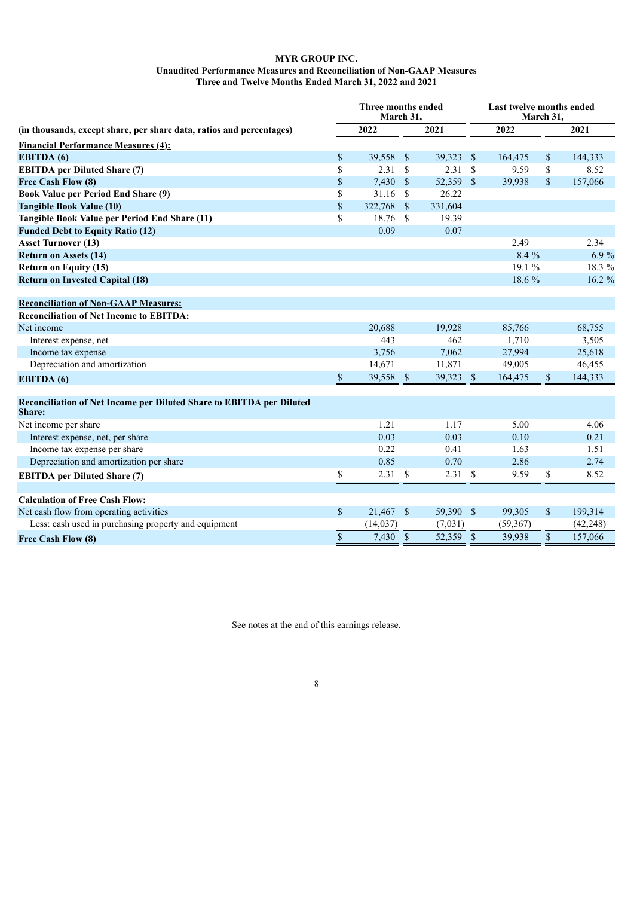# **MYR GROUP INC. Unaudited Performance Measures and Reconciliation of Non-GAAP Measures Three and Twelve Months Ended March 31, 2022 and 2021**

| (in thousands, except share, per share data, ratios and percentages)           |              | Three months ended<br>March 31, |               | Last twelve months ended<br>March 31, |                    |           |               |           |
|--------------------------------------------------------------------------------|--------------|---------------------------------|---------------|---------------------------------------|--------------------|-----------|---------------|-----------|
|                                                                                |              | 2022                            |               | 2021                                  |                    | 2022      |               | 2021      |
| <b>Financial Performance Measures (4):</b>                                     |              |                                 |               |                                       |                    |           |               |           |
| <b>EBITDA</b> (6)                                                              | \$           | 39,558 \$                       |               | 39,323 \$                             |                    | 164,475   | \$            | 144,333   |
| <b>EBITDA</b> per Diluted Share (7)                                            | \$           | 2.31                            | <sup>\$</sup> | 2.31                                  | - \$               | 9.59      | \$            | 8.52      |
| Free Cash Flow (8)                                                             | \$           | $7,430$ \$                      |               | 52,359 \$                             |                    | 39,938    | \$            | 157,066   |
| <b>Book Value per Period End Share (9)</b>                                     | \$           | 31.16                           | <sup>\$</sup> | 26.22                                 |                    |           |               |           |
| <b>Tangible Book Value (10)</b>                                                | \$           | 322,768                         | <sup>S</sup>  | 331,604                               |                    |           |               |           |
| Tangible Book Value per Period End Share (11)                                  | \$           | 18.76                           | \$            | 19.39                                 |                    |           |               |           |
| <b>Funded Debt to Equity Ratio (12)</b>                                        |              | 0.09                            |               | 0.07                                  |                    |           |               |           |
| <b>Asset Turnover (13)</b>                                                     |              |                                 |               |                                       |                    | 2.49      |               | 2.34      |
| <b>Return on Assets (14)</b>                                                   |              |                                 |               |                                       |                    | 8.4 %     |               | 6.9%      |
| <b>Return on Equity (15)</b>                                                   |              |                                 |               |                                       |                    | 19.1 %    |               | 18.3 %    |
| <b>Return on Invested Capital (18)</b>                                         |              |                                 |               |                                       |                    | 18.6 %    |               | 16.2 %    |
| <b>Reconciliation of Non-GAAP Measures:</b>                                    |              |                                 |               |                                       |                    |           |               |           |
| <b>Reconciliation of Net Income to EBITDA:</b>                                 |              |                                 |               |                                       |                    |           |               |           |
| Net income                                                                     |              | 20,688                          |               | 19,928                                |                    | 85,766    |               | 68,755    |
| Interest expense, net                                                          |              | 443                             |               | 462                                   |                    | 1,710     |               | 3,505     |
| Income tax expense                                                             |              | 3,756                           |               | 7,062                                 |                    | 27,994    |               | 25,618    |
| Depreciation and amortization                                                  |              | 14,671                          |               | 11,871                                |                    | 49,005    |               | 46,455    |
| <b>EBITDA</b> (6)                                                              | $\mathbb{S}$ | 39,558                          | $\mathcal{S}$ | 39,323                                | $\mathbb{S}$       | 164,475   | $\mathsf{\$}$ | 144,333   |
| Reconciliation of Net Income per Diluted Share to EBITDA per Diluted<br>Share: |              |                                 |               |                                       |                    |           |               |           |
| Net income per share                                                           |              | 1.21                            |               | 1.17                                  |                    | 5.00      |               | 4.06      |
| Interest expense, net, per share                                               |              | 0.03                            |               | 0.03                                  |                    | 0.10      |               | 0.21      |
| Income tax expense per share                                                   |              | 0.22                            |               | 0.41                                  |                    | 1.63      |               | 1.51      |
| Depreciation and amortization per share                                        |              | 0.85                            |               | 0.70                                  |                    | 2.86      |               | 2.74      |
| <b>EBITDA</b> per Diluted Share (7)                                            | \$           | 2.31                            | $\mathbb{S}$  | 2.31                                  | $\mathbf{\hat{s}}$ | 9.59      | \$            | 8.52      |
| <b>Calculation of Free Cash Flow:</b>                                          |              |                                 |               |                                       |                    |           |               |           |
| Net cash flow from operating activities                                        | \$           | 21,467 \$                       |               | 59,390 \$                             |                    | 99,305    | \$            | 199,314   |
| Less: cash used in purchasing property and equipment                           |              | (14, 037)                       |               | (7,031)                               |                    | (59, 367) |               | (42, 248) |
| <b>Free Cash Flow (8)</b>                                                      | \$           | 7,430 \$                        |               | 52,359 \$                             |                    | 39,938    | \$            | 157,066   |

See notes at the end of this earnings release.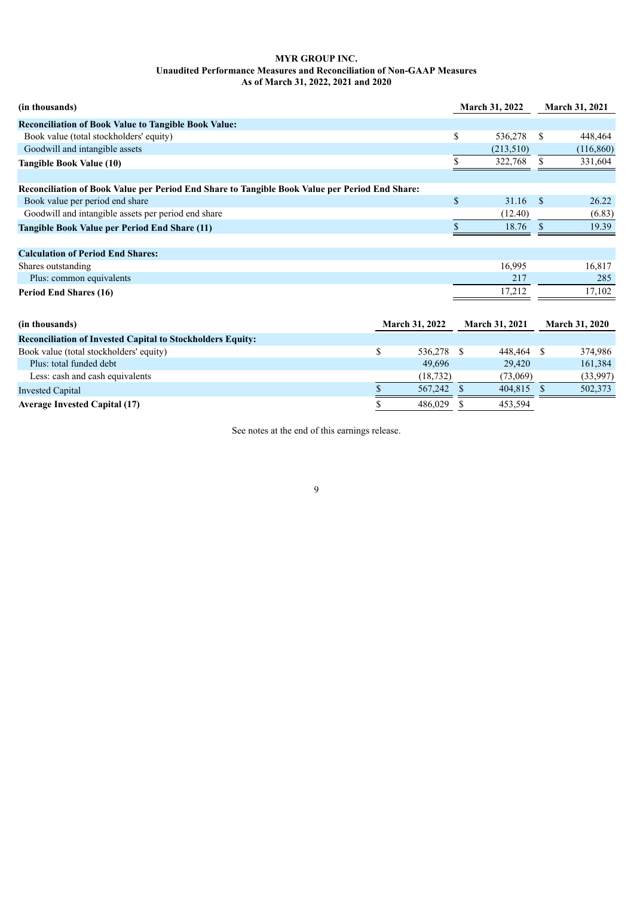# **MYR GROUP INC. Unaudited Performance Measures and Reconciliation of Non-GAAP Measures As of March 31, 2022, 2021 and 2020**

| (in thousands)                                                                                 |                       | <b>March 31, 2022</b> |                       | <b>March 31, 2021</b> |                       |
|------------------------------------------------------------------------------------------------|-----------------------|-----------------------|-----------------------|-----------------------|-----------------------|
| <b>Reconciliation of Book Value to Tangible Book Value:</b>                                    |                       |                       |                       |                       |                       |
| Book value (total stockholders' equity)                                                        |                       | \$                    | 536,278               | \$                    | 448,464               |
| Goodwill and intangible assets                                                                 |                       |                       | (213,510)             |                       | (116, 860)            |
| Tangible Book Value (10)                                                                       |                       |                       | 322,768               | S                     | 331,604               |
| Reconciliation of Book Value per Period End Share to Tangible Book Value per Period End Share: |                       |                       |                       |                       |                       |
| Book value per period end share                                                                |                       | $\mathbf{s}$          | 31.16                 | <sup>\$</sup>         | 26.22                 |
| Goodwill and intangible assets per period end share                                            |                       |                       | (12.40)               |                       | (6.83)                |
| Tangible Book Value per Period End Share (11)                                                  |                       |                       | 18.76                 | $\mathbf S$           | 19.39                 |
| <b>Calculation of Period End Shares:</b>                                                       |                       |                       |                       |                       |                       |
| Shares outstanding                                                                             |                       |                       | 16,995                |                       | 16,817                |
| Plus: common equivalents                                                                       |                       |                       | 217                   |                       | 285                   |
| <b>Period End Shares (16)</b>                                                                  |                       |                       | 17,212                |                       | 17,102                |
|                                                                                                |                       |                       |                       |                       |                       |
| (in thousands)                                                                                 | <b>March 31, 2022</b> |                       | <b>March 31, 2021</b> |                       | <b>March 31, 2020</b> |
| <b>Reconciliation of Invested Capital to Stockholders Equity:</b>                              |                       |                       |                       |                       |                       |
| Book value (total stockholders' equity)                                                        | \$<br>536,278         | \$.                   | 448,464               | -S                    | 374,986               |
| Plus: total funded debt                                                                        | 49,696                |                       | 29,420                |                       | 161,384               |

Invested Capital 5 567,242  $\overline{\text{S}}$  567,242  $\overline{\text{S}}$  404,815  $\overline{\text{S}}$  502,373 **Average Invested Capital (17) 8** 486,029 **\$** 453,594

See notes at the end of this earnings release.

Less: cash and cash equivalents (18,732) (73,069) (33,997)